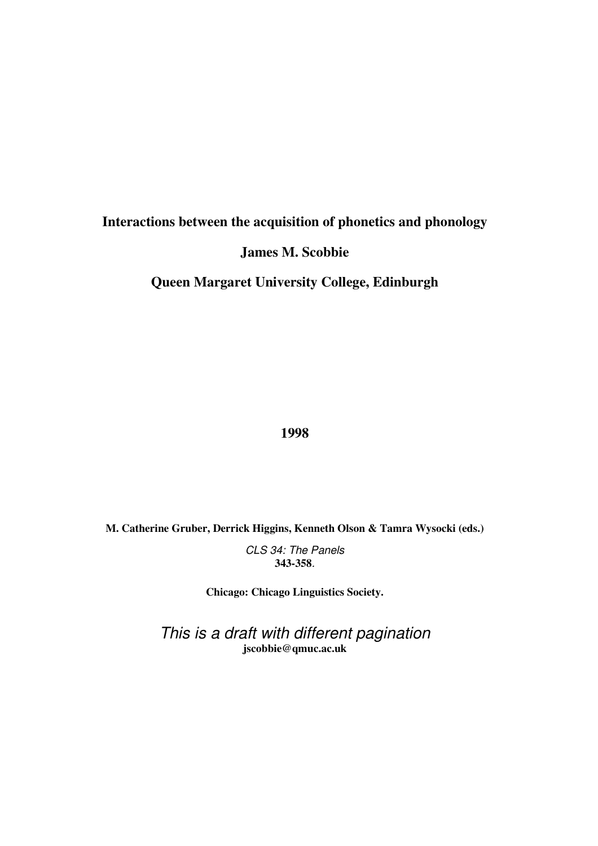# **Interactions between the acquisition of phonetics and phonology**

## **James M. Scobbie**

**Queen Margaret University College, Edinburgh** 

**1998** 

**M. Catherine Gruber, Derrick Higgins, Kenneth Olson & Tamra Wysocki (eds.)** 

CLS 34: The Panels **343-358**.

**Chicago: Chicago Linguistics Society.** 

This is a draft with different pagination **jscobbie@qmuc.ac.uk**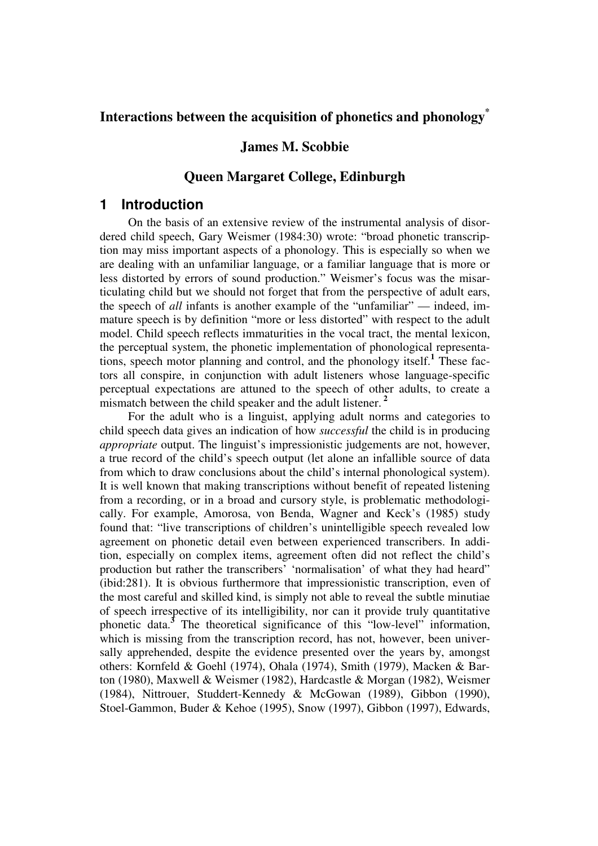## **Interactions between the acquisition of phonetics and phonology\***

### **James M. Scobbie**

### **Queen Margaret College, Edinburgh**

### **1 Introduction**

On the basis of an extensive review of the instrumental analysis of disordered child speech, Gary Weismer (1984:30) wrote: "broad phonetic transcription may miss important aspects of a phonology. This is especially so when we are dealing with an unfamiliar language, or a familiar language that is more or less distorted by errors of sound production." Weismer's focus was the misarticulating child but we should not forget that from the perspective of adult ears, the speech of *all* infants is another example of the "unfamiliar" — indeed, immature speech is by definition "more or less distorted" with respect to the adult model. Child speech reflects immaturities in the vocal tract, the mental lexicon, the perceptual system, the phonetic implementation of phonological representations, speech motor planning and control, and the phonology itself.**<sup>1</sup>** These factors all conspire, in conjunction with adult listeners whose language-specific perceptual expectations are attuned to the speech of other adults, to create a mismatch between the child speaker and the adult listener.<sup>2</sup>

For the adult who is a linguist, applying adult norms and categories to child speech data gives an indication of how *successful* the child is in producing *appropriate* output. The linguist's impressionistic judgements are not, however, a true record of the child's speech output (let alone an infallible source of data from which to draw conclusions about the child's internal phonological system). It is well known that making transcriptions without benefit of repeated listening from a recording, or in a broad and cursory style, is problematic methodologically. For example, Amorosa, von Benda, Wagner and Keck's (1985) study found that: "live transcriptions of children's unintelligible speech revealed low agreement on phonetic detail even between experienced transcribers. In addition, especially on complex items, agreement often did not reflect the child's production but rather the transcribers' 'normalisation' of what they had heard" (ibid:281). It is obvious furthermore that impressionistic transcription, even of the most careful and skilled kind, is simply not able to reveal the subtle minutiae of speech irrespective of its intelligibility, nor can it provide truly quantitative phonetic data.**<sup>3</sup>** The theoretical significance of this "low-level" information, which is missing from the transcription record, has not, however, been universally apprehended, despite the evidence presented over the years by, amongst others: Kornfeld & Goehl (1974), Ohala (1974), Smith (1979), Macken & Barton (1980), Maxwell & Weismer (1982), Hardcastle & Morgan (1982), Weismer (1984), Nittrouer, Studdert-Kennedy & McGowan (1989), Gibbon (1990), Stoel-Gammon, Buder & Kehoe (1995), Snow (1997), Gibbon (1997), Edwards,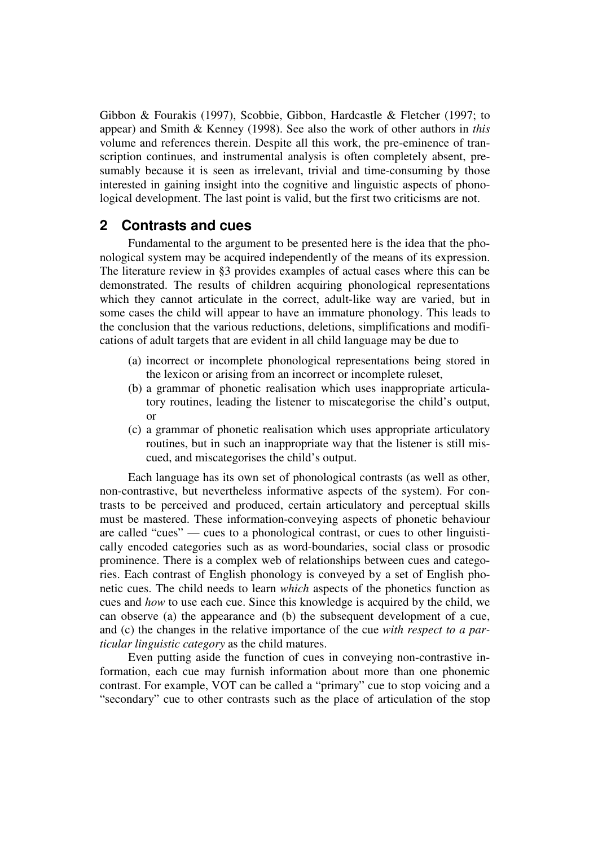Gibbon & Fourakis (1997), Scobbie, Gibbon, Hardcastle & Fletcher (1997; to appear) and Smith & Kenney (1998). See also the work of other authors in *this* volume and references therein. Despite all this work, the pre-eminence of transcription continues, and instrumental analysis is often completely absent, presumably because it is seen as irrelevant, trivial and time-consuming by those interested in gaining insight into the cognitive and linguistic aspects of phonological development. The last point is valid, but the first two criticisms are not.

### **2 Contrasts and cues**

Fundamental to the argument to be presented here is the idea that the phonological system may be acquired independently of the means of its expression. The literature review in §3 provides examples of actual cases where this can be demonstrated. The results of children acquiring phonological representations which they cannot articulate in the correct, adult-like way are varied, but in some cases the child will appear to have an immature phonology. This leads to the conclusion that the various reductions, deletions, simplifications and modifications of adult targets that are evident in all child language may be due to

- (a) incorrect or incomplete phonological representations being stored in the lexicon or arising from an incorrect or incomplete ruleset,
- (b) a grammar of phonetic realisation which uses inappropriate articulatory routines, leading the listener to miscategorise the child's output, or
- (c) a grammar of phonetic realisation which uses appropriate articulatory routines, but in such an inappropriate way that the listener is still miscued, and miscategorises the child's output.

Each language has its own set of phonological contrasts (as well as other, non-contrastive, but nevertheless informative aspects of the system). For contrasts to be perceived and produced, certain articulatory and perceptual skills must be mastered. These information-conveying aspects of phonetic behaviour are called "cues" — cues to a phonological contrast, or cues to other linguistically encoded categories such as as word-boundaries, social class or prosodic prominence. There is a complex web of relationships between cues and categories. Each contrast of English phonology is conveyed by a set of English phonetic cues. The child needs to learn *which* aspects of the phonetics function as cues and *how* to use each cue. Since this knowledge is acquired by the child, we can observe (a) the appearance and (b) the subsequent development of a cue, and (c) the changes in the relative importance of the cue *with respect to a particular linguistic category* as the child matures.

Even putting aside the function of cues in conveying non-contrastive information, each cue may furnish information about more than one phonemic contrast. For example, VOT can be called a "primary" cue to stop voicing and a "secondary" cue to other contrasts such as the place of articulation of the stop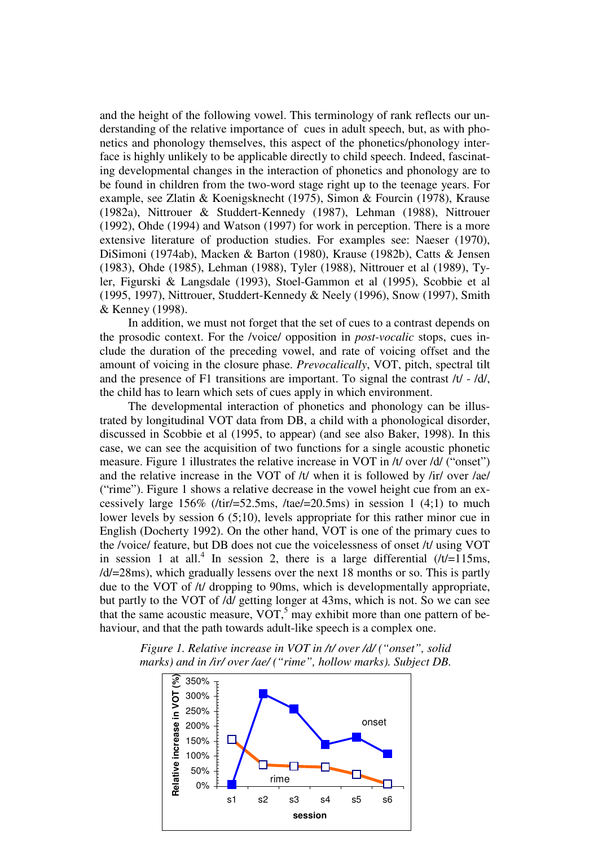and the height of the following vowel. This terminology of rank reflects our understanding of the relative importance of cues in adult speech, but, as with phonetics and phonology themselves, this aspect of the phonetics/phonology interface is highly unlikely to be applicable directly to child speech. Indeed, fascinating developmental changes in the interaction of phonetics and phonology are to be found in children from the two-word stage right up to the teenage years. For example, see Zlatin & Koenigsknecht (1975), Simon & Fourcin (1978), Krause (1982a), Nittrouer & Studdert-Kennedy (1987), Lehman (1988), Nittrouer (1992), Ohde (1994) and Watson (1997) for work in perception. There is a more extensive literature of production studies. For examples see: Naeser (1970), DiSimoni (1974ab), Macken & Barton (1980), Krause (1982b), Catts & Jensen (1983), Ohde (1985), Lehman (1988), Tyler (1988), Nittrouer et al (1989), Tyler, Figurski & Langsdale (1993), Stoel-Gammon et al (1995), Scobbie et al (1995, 1997), Nittrouer, Studdert-Kennedy & Neely (1996), Snow (1997), Smith & Kenney (1998).

In addition, we must not forget that the set of cues to a contrast depends on the prosodic context. For the /voice/ opposition in *post-vocalic* stops, cues include the duration of the preceding vowel, and rate of voicing offset and the amount of voicing in the closure phase. *Prevocalically*, VOT, pitch, spectral tilt and the presence of F1 transitions are important. To signal the contrast /t/ - /d/, the child has to learn which sets of cues apply in which environment.

The developmental interaction of phonetics and phonology can be illustrated by longitudinal VOT data from DB, a child with a phonological disorder, discussed in Scobbie et al (1995, to appear) (and see also Baker, 1998). In this case, we can see the acquisition of two functions for a single acoustic phonetic measure. Figure 1 illustrates the relative increase in VOT in /t/ over /d/ ("onset") and the relative increase in the VOT of /t/ when it is followed by /ir/ over /ae/ ("rime"). Figure 1 shows a relative decrease in the vowel height cue from an excessively large  $156\%$  (/tir/=52.5ms, /tae/=20.5ms) in session 1 (4;1) to much lower levels by session 6 (5;10), levels appropriate for this rather minor cue in English (Docherty 1992). On the other hand, VOT is one of the primary cues to the /voice/ feature, but DB does not cue the voicelessness of onset /t/ using VOT in session 1 at all.<sup>4</sup> In session 2, there is a large differential  $/t/=115$ ms, /d/=28ms), which gradually lessens over the next 18 months or so. This is partly due to the VOT of /t/ dropping to 90ms, which is developmentally appropriate, but partly to the VOT of /d/ getting longer at 43ms, which is not. So we can see that the same acoustic measure,  $VOT$ ,<sup>5</sup> may exhibit more than one pattern of behaviour, and that the path towards adult-like speech is a complex one.



*Figure 1. Relative increase in VOT in /t/ over /d/ ("onset", solid marks) and in /ir/ over /ae/ ("rime", hollow marks). Subject DB.*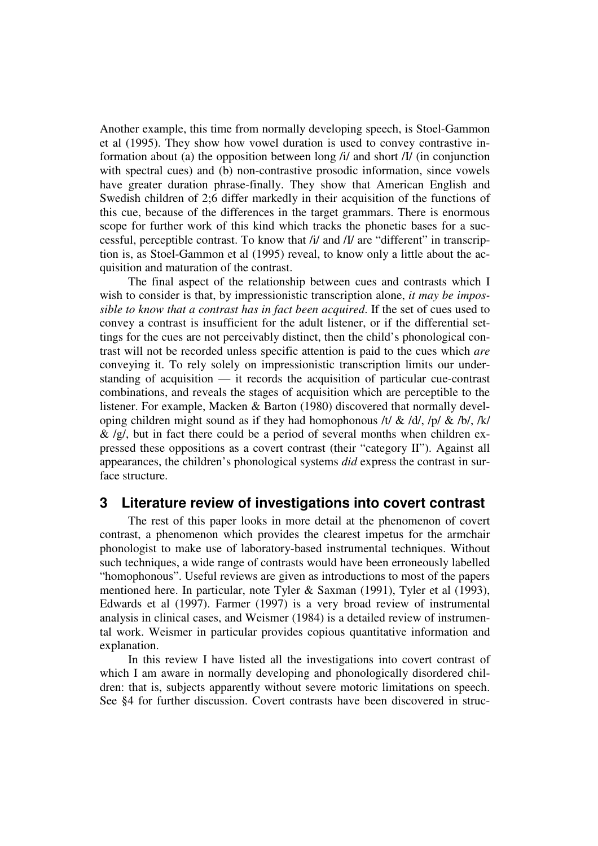Another example, this time from normally developing speech, is Stoel-Gammon et al (1995). They show how vowel duration is used to convey contrastive information about (a) the opposition between long /i/ and short /I/ (in conjunction with spectral cues) and (b) non-contrastive prosodic information, since vowels have greater duration phrase-finally. They show that American English and Swedish children of 2;6 differ markedly in their acquisition of the functions of this cue, because of the differences in the target grammars. There is enormous scope for further work of this kind which tracks the phonetic bases for a successful, perceptible contrast. To know that /i/ and /I/ are "different" in transcription is, as Stoel-Gammon et al (1995) reveal, to know only a little about the acquisition and maturation of the contrast.

The final aspect of the relationship between cues and contrasts which I wish to consider is that, by impressionistic transcription alone, *it may be impossible to know that a contrast has in fact been acquired*. If the set of cues used to convey a contrast is insufficient for the adult listener, or if the differential settings for the cues are not perceivably distinct, then the child's phonological contrast will not be recorded unless specific attention is paid to the cues which *are* conveying it. To rely solely on impressionistic transcription limits our understanding of acquisition — it records the acquisition of particular cue-contrast combinations, and reveals the stages of acquisition which are perceptible to the listener. For example, Macken & Barton (1980) discovered that normally developing children might sound as if they had homophonous /t/ & /d/, /p/ & /b/, /k/  $\&$  /g/, but in fact there could be a period of several months when children expressed these oppositions as a covert contrast (their "category II"). Against all appearances, the children's phonological systems *did* express the contrast in surface structure.

### **3 Literature review of investigations into covert contrast**

The rest of this paper looks in more detail at the phenomenon of covert contrast, a phenomenon which provides the clearest impetus for the armchair phonologist to make use of laboratory-based instrumental techniques. Without such techniques, a wide range of contrasts would have been erroneously labelled "homophonous". Useful reviews are given as introductions to most of the papers mentioned here. In particular, note Tyler & Saxman (1991), Tyler et al (1993), Edwards et al (1997). Farmer (1997) is a very broad review of instrumental analysis in clinical cases, and Weismer (1984) is a detailed review of instrumental work. Weismer in particular provides copious quantitative information and explanation.

In this review I have listed all the investigations into covert contrast of which I am aware in normally developing and phonologically disordered children: that is, subjects apparently without severe motoric limitations on speech. See §4 for further discussion. Covert contrasts have been discovered in struc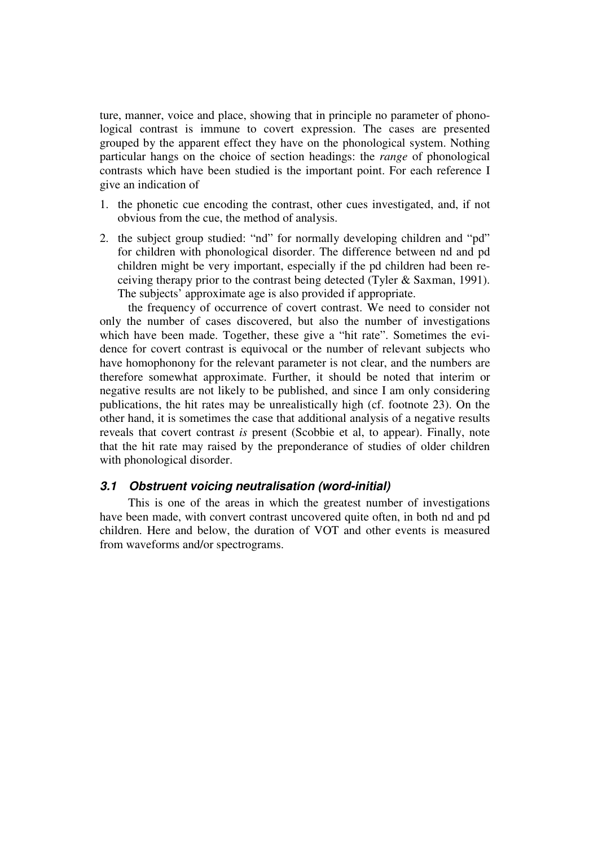ture, manner, voice and place, showing that in principle no parameter of phonological contrast is immune to covert expression. The cases are presented grouped by the apparent effect they have on the phonological system. Nothing particular hangs on the choice of section headings: the *range* of phonological contrasts which have been studied is the important point. For each reference I give an indication of

- 1. the phonetic cue encoding the contrast, other cues investigated, and, if not obvious from the cue, the method of analysis.
- 2. the subject group studied: "nd" for normally developing children and "pd" for children with phonological disorder. The difference between nd and pd children might be very important, especially if the pd children had been receiving therapy prior to the contrast being detected (Tyler & Saxman, 1991). The subjects' approximate age is also provided if appropriate.

the frequency of occurrence of covert contrast. We need to consider not only the number of cases discovered, but also the number of investigations which have been made. Together, these give a "hit rate". Sometimes the evidence for covert contrast is equivocal or the number of relevant subjects who have homophonony for the relevant parameter is not clear, and the numbers are therefore somewhat approximate. Further, it should be noted that interim or negative results are not likely to be published, and since I am only considering publications, the hit rates may be unrealistically high (cf. footnote 23). On the other hand, it is sometimes the case that additional analysis of a negative results reveals that covert contrast *is* present (Scobbie et al, to appear). Finally, note that the hit rate may raised by the preponderance of studies of older children with phonological disorder.

#### **3.1 Obstruent voicing neutralisation (word-initial)**

This is one of the areas in which the greatest number of investigations have been made, with convert contrast uncovered quite often, in both nd and pd children. Here and below, the duration of VOT and other events is measured from waveforms and/or spectrograms.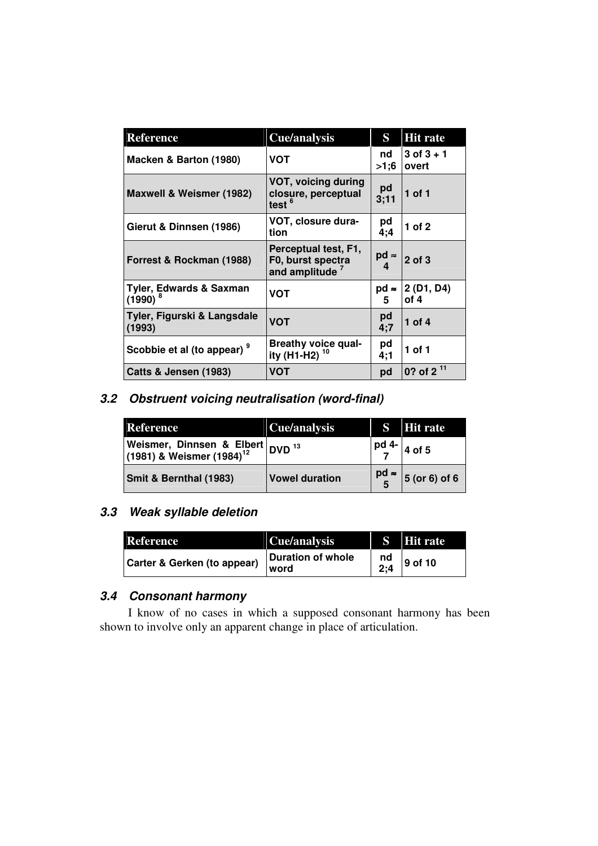| <b>Reference</b>                                 | Cue/analysis                                                            | S                 | <b>Hit rate</b>         |
|--------------------------------------------------|-------------------------------------------------------------------------|-------------------|-------------------------|
| Macken & Barton (1980)                           | VOT                                                                     | nd<br>>1;6        | $3$ of $3 + 1$<br>overt |
| Maxwell & Weismer (1982)                         | VOT, voicing during<br>closure, perceptual<br>test <sup>6</sup>         | pd<br>3:11        | $1$ of $1$              |
| Gierut & Dinnsen (1986)                          | VOT, closure dura-<br>tion                                              | pd<br>4:4         | 1 of $2$                |
| Forrest & Rockman (1988)                         | Perceptual test, F1,<br>F0, burst spectra<br>and amplitude <sup>7</sup> | $pd \approx$<br>4 | $2$ of $3$              |
| <b>Tyler, Edwards &amp; Saxman</b><br>$(1990)^8$ | VOT                                                                     | $pd \approx$<br>5 | 2 (D1, D4)<br>of 4      |
| Tyler, Figurski & Langsdale<br>(1993)            | <b>VOT</b>                                                              | pd<br>4:7         | 1 of 4                  |
| Scobbie et al (to appear) <sup>9</sup>           | <b>Breathy voice qual-</b><br>ity (H1-H2)                               | pd<br>4:1         | 1 of 1                  |
| Catts & Jensen (1983)                            | <b>VOT</b>                                                              | pd                | 0? of 2 $11$            |

# **3.2 Obstruent voicing neutralisation (word-final)**

| <b>Reference</b>                                                                     | Cue/analysis          |                                                 | <b>S</b> Hit rate     |
|--------------------------------------------------------------------------------------|-----------------------|-------------------------------------------------|-----------------------|
| Weismer, Dinnsen & Elbert DVD <sup>13</sup><br>(1981) & Weismer (1984) <sup>12</sup> |                       |                                                 | $\frac{pd}{7}$ 4 of 5 |
| <b>Smit &amp; Bernthal (1983)</b>                                                    | <b>Vowel duration</b> | $\begin{bmatrix} pd \approx \\ 5 \end{bmatrix}$ | $5$ (or 6) of 6       |

### **3.3 Weak syllable deletion**

| Reference                   | Cue/analysis              |           | S Hit rate |
|-----------------------------|---------------------------|-----------|------------|
| Carter & Gerken (to appear) | Duration of whole<br>word | nd<br>2:4 | 9 of 10    |

## **3.4 Consonant harmony**

I know of no cases in which a supposed consonant harmony has been shown to involve only an apparent change in place of articulation.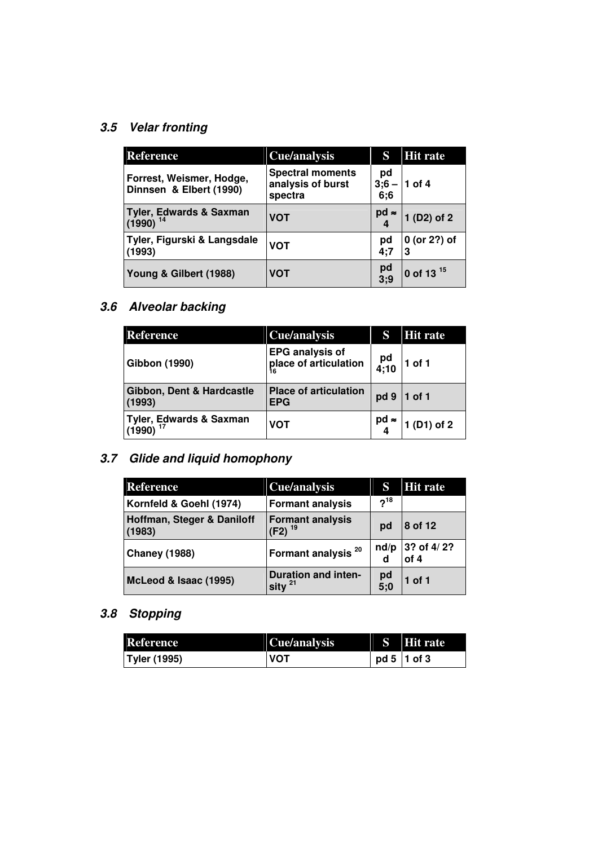# **3.5 Velar fronting**

| <b>Reference</b>                                    | Cue/analysis                                            | S                    | <b>Hit rate</b>       |
|-----------------------------------------------------|---------------------------------------------------------|----------------------|-----------------------|
| Forrest, Weismer, Hodge,<br>Dinnsen & Elbert (1990) | <b>Spectral moments</b><br>analysis of burst<br>spectra | pd<br>$3:6 -$<br>6;6 | 1 of 4                |
| <b>Tyler, Edwards &amp; Saxman</b><br>$(1990)^{14}$ | <b>VOT</b>                                              | $pd \approx$         | 1 (D2) of 2           |
| Tyler, Figurski & Langsdale<br>(1993)               | <b>VOT</b>                                              | pd<br>4;7            | 0 (or 2?) of<br>3     |
| Young & Gilbert (1988)                              | <b>VOT</b>                                              | $pd$<br>$3:9$        | 0 of 13 <sup>15</sup> |

# **3.6 Alveolar backing**

| <b>Reference</b>                                 | Cue/analysis                                    | S            | <b>Hit rate</b> |
|--------------------------------------------------|-------------------------------------------------|--------------|-----------------|
| <b>Gibbon (1990)</b>                             | <b>EPG analysis of</b><br>place of articulation | pd<br>4;10   | $1$ of 1        |
| Gibbon, Dent & Hardcastle<br>(1993)              | <b>Place of articulation</b><br><b>EPG</b>      | pd 9         | $1$ of 1        |
| Tyler, Edwards & Saxman<br> (1990) <sup>17</sup> | VOT                                             | $pd \approx$ | 1 (D1) of 2     |

# **3.7 Glide and liquid homophony**

| <b>Reference</b>                     | <b>Cue/analysis</b>                        | S             | <b>Hit rate</b>    |
|--------------------------------------|--------------------------------------------|---------------|--------------------|
| Kornfeld & Goehl (1974)              | <b>Formant analysis</b>                    | $2^{18}$      |                    |
| Hoffman, Steger & Daniloff<br>(1983) | <b>Formant analysis</b><br>$(F2)^{19}$     | pd            | 8 of 12            |
| <b>Chaney (1988)</b>                 | Formant analysis <sup>20</sup>             | nd/p<br>d     | 3? of 4/2?<br>of 4 |
| McLeod & Isaac (1995)                | <b>Duration and inten-</b><br>sity $^{21}$ | $pd$<br>$5;0$ | 1 of 1             |

# **3.8 Stopping**

| <b>Reference</b>    | Cue/analysis | S Hit rate      |
|---------------------|--------------|-----------------|
| <b>Tyler (1995)</b> | <b>VOT</b>   | $pd 5$   1 of 3 |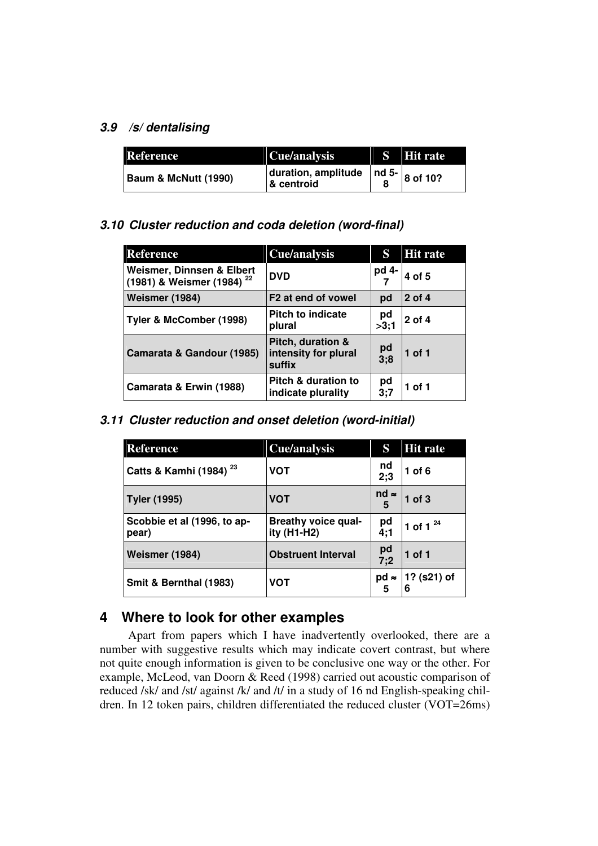### **3.9 /s/ dentalising**

| Reference                       | Cue/analysis                      | S Hit rate                      |
|---------------------------------|-----------------------------------|---------------------------------|
| <b>Baum &amp; McNutt (1990)</b> | duration, amplitude<br>& centroid | $\sim$ 1 nd 5- $\Big  8$ of 10? |

### **3.10 Cluster reduction and coda deletion (word-final)**

| <b>Reference</b>                                                   | <b>Cue/analysis</b>                                 | S             | <b>Hit rate</b> |
|--------------------------------------------------------------------|-----------------------------------------------------|---------------|-----------------|
| Weismer, Dinnsen & Elbert<br>(1981) & Weismer (1984) <sup>22</sup> | <b>DVD</b>                                          | pd 4-         | 4 of 5          |
| <b>Weismer (1984)</b>                                              | F <sub>2</sub> at end of vowel                      | pd            | 2 of 4          |
| Tyler & McComber (1998)                                            | <b>Pitch to indicate</b><br>plural                  | pd<br>>3:1    | 2 of 4          |
| Camarata & Gandour (1985)                                          | Pitch, duration &<br>intensity for plural<br>suffix | $pd$<br>$3:8$ | $1$ of $1$      |
| Camarata & Erwin (1988)                                            | Pitch & duration to<br>indicate plurality           | pd<br>3:7     | 1 of 1          |

### **3.11 Cluster reduction and onset deletion (word-initial)**

| <b>Reference</b>                     | Cue/analysis                              | S                 | <b>Hit rate</b>  |
|--------------------------------------|-------------------------------------------|-------------------|------------------|
| Catts & Kamhi (1984) <sup>23</sup>   | <b>VOT</b>                                | nd<br>2:3         | 1 of $6$         |
| <b>Tyler (1995)</b>                  | <b>VOT</b>                                | $nd \approx$<br>5 | $1$ of $3$       |
| Scobbie et al (1996, to ap-<br>pear) | <b>Breathy voice qual-</b><br>ity (H1-H2) | pd<br>4:1         | 1 of 1 $^{24}$   |
| <b>Weismer (1984)</b>                | <b>Obstruent Interval</b>                 | pd<br>7;2         | 1 of 1           |
| Smit & Bernthal (1983)               | VOT                                       | $pd \approx$<br>5 | 1? (s21) of<br>6 |

## **4 Where to look for other examples**

Apart from papers which I have inadvertently overlooked, there are a number with suggestive results which may indicate covert contrast, but where not quite enough information is given to be conclusive one way or the other. For example, McLeod, van Doorn & Reed (1998) carried out acoustic comparison of reduced /sk/ and /st/ against /k/ and /t/ in a study of 16 nd English-speaking children. In 12 token pairs, children differentiated the reduced cluster (VOT=26ms)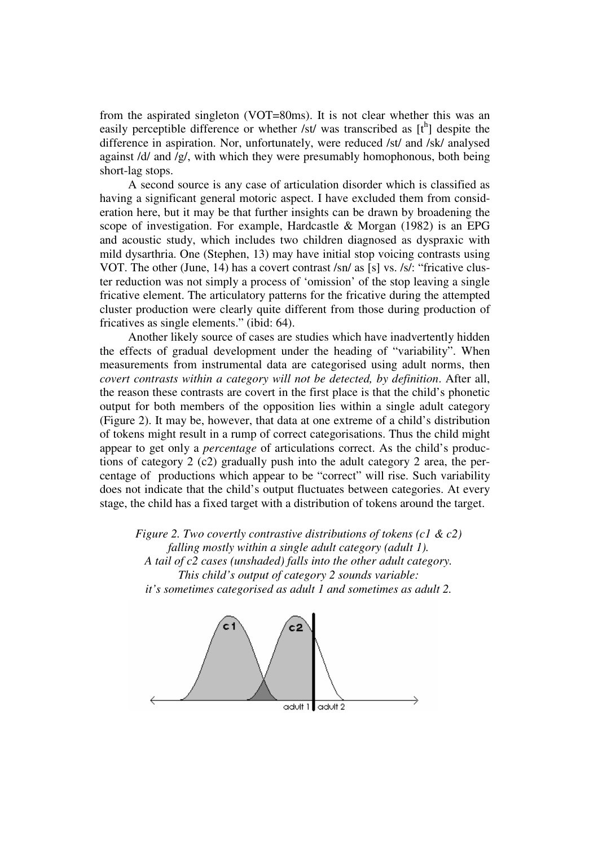from the aspirated singleton (VOT=80ms). It is not clear whether this was an easily perceptible difference or whether /st/ was transcribed as  $[t^h]$  despite the difference in aspiration. Nor, unfortunately, were reduced /st/ and /sk/ analysed against /d/ and /g/, with which they were presumably homophonous, both being short-lag stops.

A second source is any case of articulation disorder which is classified as having a significant general motoric aspect. I have excluded them from consideration here, but it may be that further insights can be drawn by broadening the scope of investigation. For example, Hardcastle & Morgan (1982) is an EPG and acoustic study, which includes two children diagnosed as dyspraxic with mild dysarthria. One (Stephen, 13) may have initial stop voicing contrasts using VOT. The other (June, 14) has a covert contrast /sn/ as [s] vs. /s/: "fricative cluster reduction was not simply a process of 'omission' of the stop leaving a single fricative element. The articulatory patterns for the fricative during the attempted cluster production were clearly quite different from those during production of fricatives as single elements." (ibid: 64).

Another likely source of cases are studies which have inadvertently hidden the effects of gradual development under the heading of "variability". When measurements from instrumental data are categorised using adult norms, then *covert contrasts within a category will not be detected, by definition*. After all, the reason these contrasts are covert in the first place is that the child's phonetic output for both members of the opposition lies within a single adult category (Figure 2). It may be, however, that data at one extreme of a child's distribution of tokens might result in a rump of correct categorisations. Thus the child might appear to get only a *percentage* of articulations correct. As the child's productions of category 2 (c2) gradually push into the adult category 2 area, the percentage of productions which appear to be "correct" will rise. Such variability does not indicate that the child's output fluctuates between categories. At every stage, the child has a fixed target with a distribution of tokens around the target.

*Figure 2. Two covertly contrastive distributions of tokens (c1 & c2) falling mostly within a single adult category (adult 1). A tail of c2 cases (unshaded) falls into the other adult category. This child's output of category 2 sounds variable: it's sometimes categorised as adult 1 and sometimes as adult 2.* 

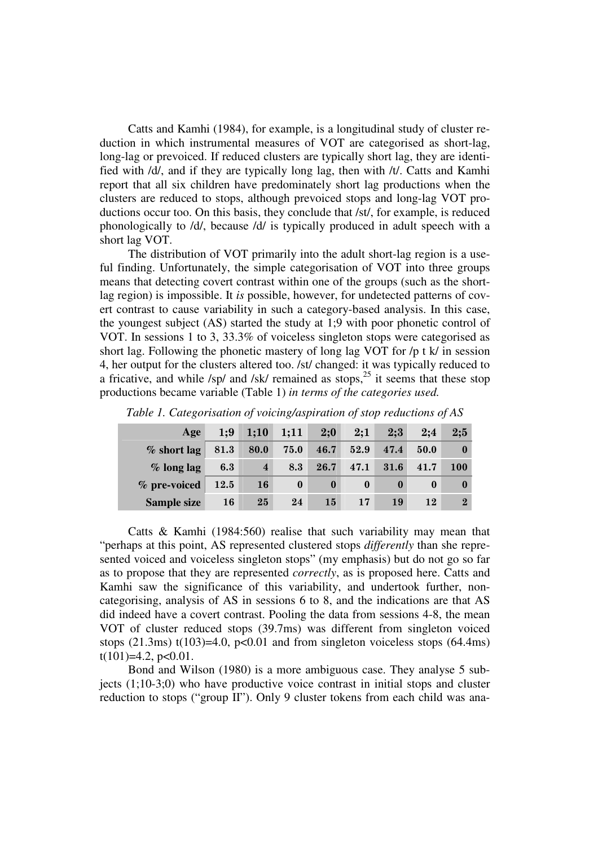Catts and Kamhi (1984), for example, is a longitudinal study of cluster reduction in which instrumental measures of VOT are categorised as short-lag, long-lag or prevoiced. If reduced clusters are typically short lag, they are identified with /d/, and if they are typically long lag, then with /t/. Catts and Kamhi report that all six children have predominately short lag productions when the clusters are reduced to stops, although prevoiced stops and long-lag VOT productions occur too. On this basis, they conclude that /st/, for example, is reduced phonologically to /d/, because /d/ is typically produced in adult speech with a short lag VOT.

The distribution of VOT primarily into the adult short-lag region is a useful finding. Unfortunately, the simple categorisation of VOT into three groups means that detecting covert contrast within one of the groups (such as the shortlag region) is impossible. It *is* possible, however, for undetected patterns of covert contrast to cause variability in such a category-based analysis. In this case, the youngest subject (AS) started the study at 1;9 with poor phonetic control of VOT. In sessions 1 to 3, 33.3% of voiceless singleton stops were categorised as short lag. Following the phonetic mastery of long lag VOT for /p t k/ in session 4, her output for the clusters altered too. /st/ changed: it was typically reduced to a fricative, and while  $\frac{s}{p'}$  and  $\frac{s}{k'}$  remained as stops,  $2^5$  it seems that these stop productions became variable (Table 1) *in terms of the categories used.* 

| Age                | 1:9  | 1;10           | 1;11     | 2:0      | 2:1      | 2:3  | 2:4  | 2:5        |
|--------------------|------|----------------|----------|----------|----------|------|------|------------|
| $%$ short lag      | 81.3 | 80.0           | 75.0     | 46.7     | 52.9     | 47.4 | 50.0 |            |
| $%$ long lag       | 6.3  | $\overline{4}$ | 8.3      | 26.7     | 47.1     | 31.6 | 41.7 | <b>100</b> |
| $\%$ pre-voiced    | 12.5 | <b>16</b>      | $\bf{0}$ | $\bf{0}$ | $\bf{0}$ |      |      | $\bf{0}$   |
| <b>Sample size</b> | 16   | 25             | 24       | 15       | 17       | 19   | 12   | $\bf{2}$   |

*Table 1. Categorisation of voicing/aspiration of stop reductions of AS* 

Catts & Kamhi (1984:560) realise that such variability may mean that "perhaps at this point, AS represented clustered stops *differently* than she represented voiced and voiceless singleton stops" (my emphasis) but do not go so far as to propose that they are represented *correctly*, as is proposed here. Catts and Kamhi saw the significance of this variability, and undertook further, noncategorising, analysis of AS in sessions 6 to 8, and the indications are that AS did indeed have a covert contrast. Pooling the data from sessions 4-8, the mean VOT of cluster reduced stops (39.7ms) was different from singleton voiced stops (21.3ms) t(103)=4.0, p<0.01 and from singleton voiceless stops (64.4ms)  $t(101)=4.2$ ,  $p<0.01$ .

Bond and Wilson (1980) is a more ambiguous case. They analyse 5 subjects (1;10-3;0) who have productive voice contrast in initial stops and cluster reduction to stops ("group II"). Only 9 cluster tokens from each child was ana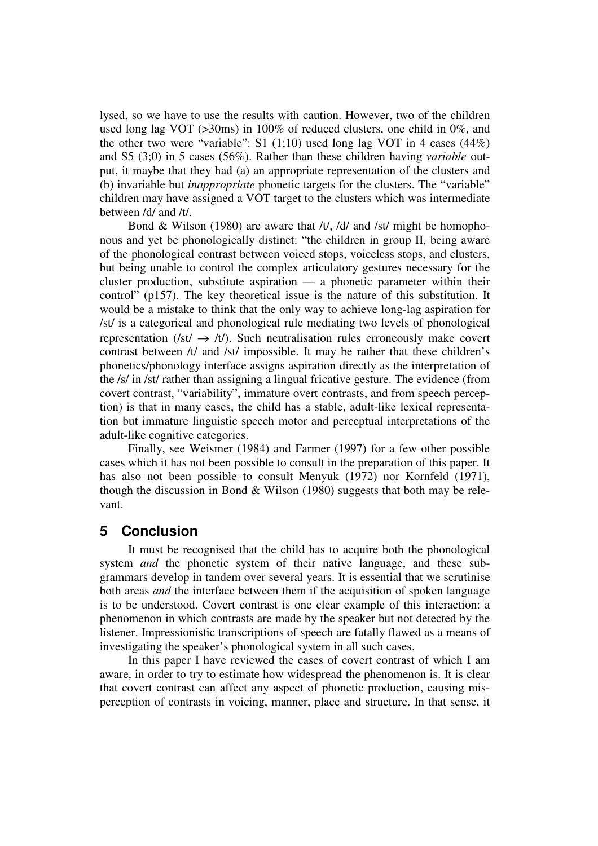lysed, so we have to use the results with caution. However, two of the children used long lag VOT (>30ms) in 100% of reduced clusters, one child in 0%, and the other two were "variable":  $S1$  (1;10) used long lag VOT in 4 cases (44%) and S5 (3;0) in 5 cases (56%). Rather than these children having *variable* output, it maybe that they had (a) an appropriate representation of the clusters and (b) invariable but *inappropriate* phonetic targets for the clusters. The "variable" children may have assigned a VOT target to the clusters which was intermediate between /d/ and /t/.

Bond & Wilson (1980) are aware that /t/, /d/ and /st/ might be homophonous and yet be phonologically distinct: "the children in group II, being aware of the phonological contrast between voiced stops, voiceless stops, and clusters, but being unable to control the complex articulatory gestures necessary for the cluster production, substitute aspiration — a phonetic parameter within their control" (p157). The key theoretical issue is the nature of this substitution. It would be a mistake to think that the only way to achieve long-lag aspiration for /st/ is a categorical and phonological rule mediating two levels of phonological representation (/st/  $\rightarrow$  /t/). Such neutralisation rules erroneously make covert contrast between /t/ and /st/ impossible. It may be rather that these children's phonetics/phonology interface assigns aspiration directly as the interpretation of the /s/ in /st/ rather than assigning a lingual fricative gesture. The evidence (from covert contrast, "variability", immature overt contrasts, and from speech perception) is that in many cases, the child has a stable, adult-like lexical representation but immature linguistic speech motor and perceptual interpretations of the adult-like cognitive categories.

Finally, see Weismer (1984) and Farmer (1997) for a few other possible cases which it has not been possible to consult in the preparation of this paper. It has also not been possible to consult Menyuk (1972) nor Kornfeld (1971), though the discussion in Bond & Wilson (1980) suggests that both may be relevant.

#### **5 Conclusion**

It must be recognised that the child has to acquire both the phonological system *and* the phonetic system of their native language, and these subgrammars develop in tandem over several years. It is essential that we scrutinise both areas *and* the interface between them if the acquisition of spoken language is to be understood. Covert contrast is one clear example of this interaction: a phenomenon in which contrasts are made by the speaker but not detected by the listener. Impressionistic transcriptions of speech are fatally flawed as a means of investigating the speaker's phonological system in all such cases.

In this paper I have reviewed the cases of covert contrast of which I am aware, in order to try to estimate how widespread the phenomenon is. It is clear that covert contrast can affect any aspect of phonetic production, causing misperception of contrasts in voicing, manner, place and structure. In that sense, it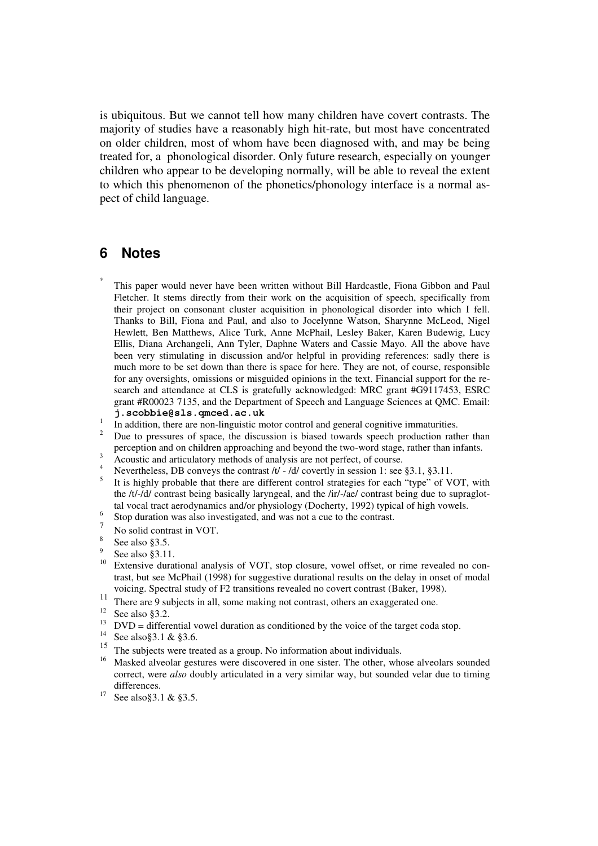is ubiquitous. But we cannot tell how many children have covert contrasts. The majority of studies have a reasonably high hit-rate, but most have concentrated on older children, most of whom have been diagnosed with, and may be being treated for, a phonological disorder. Only future research, especially on younger children who appear to be developing normally, will be able to reveal the extent to which this phenomenon of the phonetics/phonology interface is a normal aspect of child language.

### **6 Notes**

\*

 This paper would never have been written without Bill Hardcastle, Fiona Gibbon and Paul Fletcher. It stems directly from their work on the acquisition of speech, specifically from their project on consonant cluster acquisition in phonological disorder into which I fell. Thanks to Bill, Fiona and Paul, and also to Jocelynne Watson, Sharynne McLeod, Nigel Hewlett, Ben Matthews, Alice Turk, Anne McPhail, Lesley Baker, Karen Budewig, Lucy Ellis, Diana Archangeli, Ann Tyler, Daphne Waters and Cassie Mayo. All the above have been very stimulating in discussion and/or helpful in providing references: sadly there is much more to be set down than there is space for here. They are not, of course, responsible for any oversights, omissions or misguided opinions in the text. Financial support for the research and attendance at CLS is gratefully acknowledged: MRC grant #G9117453, ESRC grant #R00023 7135, and the Department of Speech and Language Sciences at QMC. Email: **j.scobbie@sls.qmced.ac.uk**

- 1 In addition, there are non-linguistic motor control and general cognitive immaturities.
- 2 Due to pressures of space, the discussion is biased towards speech production rather than perception and on children approaching and beyond the two-word stage, rather than infants. 3
- Acoustic and articulatory methods of analysis are not perfect, of course. 4
- Nevertheless, DB conveys the contrast  $/t/ /d/$  covertly in session 1: see §3.1, §3.11.
- 5 It is highly probable that there are different control strategies for each "type" of VOT, with the /t/-/d/ contrast being basically laryngeal, and the /ir/-/ae/ contrast being due to supraglottal vocal tract aerodynamics and/or physiology (Docherty, 1992) typical of high vowels. 6
- Stop duration was also investigated, and was not a cue to the contrast. 7
- No solid contrast in VOT.
- 8 See also §3.5.
- 9  $\frac{9}{10}$  See also §3.11.
- Extensive durational analysis of VOT, stop closure, vowel offset, or rime revealed no contrast, but see McPhail (1998) for suggestive durational results on the delay in onset of modal voicing. Spectral study of F2 transitions revealed no covert contrast (Baker, 1998).
- 11 There are 9 subjects in all, some making not contrast, others an exaggerated one.
- $12$  See also §3.2.
- $13$  DVD = differential vowel duration as conditioned by the voice of the target coda stop.
- <sup>14</sup> See also §3.1 & §3.6.
- <sup>15</sup> The subjects were treated as a group. No information about individuals.
- <sup>16</sup> Masked alveolar gestures were discovered in one sister. The other, whose alveolars sounded correct, were *also* doubly articulated in a very similar way, but sounded velar due to timing differences.
- <sup>17</sup> See also § 3.1 & § 3.5.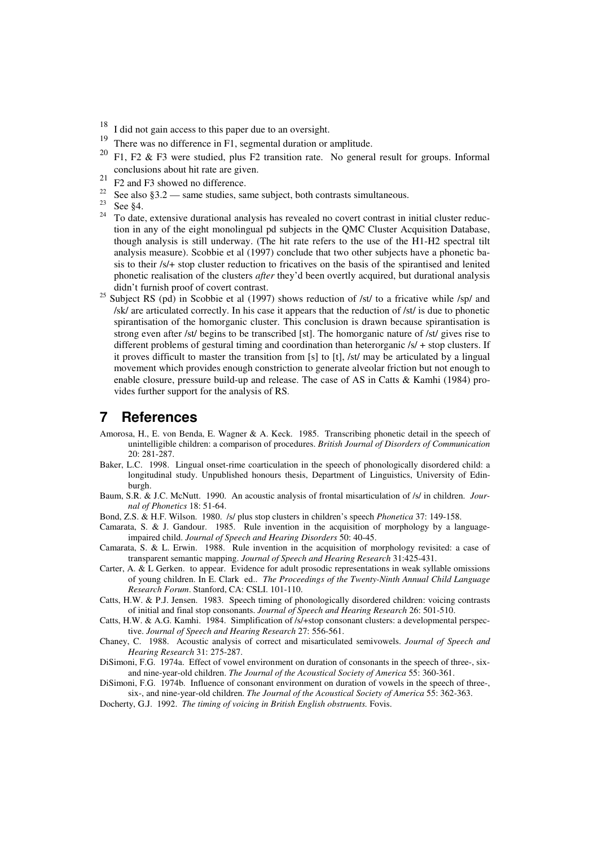- I did not gain access to this paper due to an oversight.
- 19 <sup>19</sup> There was no difference in F1, segmental duration or amplitude.
- F1, F2 & F3 were studied, plus F2 transition rate. No general result for groups. Informal conclusions about hit rate are given.
- 21 F2 and F3 showed no difference.
- <sup>22</sup> See also §3.2 same studies, same subject, both contrasts simultaneous.
- $\frac{23}{24}$  See §4.
- To date, extensive durational analysis has revealed no covert contrast in initial cluster reduction in any of the eight monolingual pd subjects in the QMC Cluster Acquisition Database, though analysis is still underway. (The hit rate refers to the use of the H1-H2 spectral tilt analysis measure). Scobbie et al (1997) conclude that two other subjects have a phonetic basis to their /s/+ stop cluster reduction to fricatives on the basis of the spirantised and lenited phonetic realisation of the clusters *after* they'd been overtly acquired, but durational analysis didn't furnish proof of covert contrast.
- <sup>25</sup> Subject RS (pd) in Scobbie et al (1997) shows reduction of /st/ to a fricative while /sp/ and /sk/ are articulated correctly. In his case it appears that the reduction of /st/ is due to phonetic spirantisation of the homorganic cluster. This conclusion is drawn because spirantisation is strong even after /st/ begins to be transcribed [st]. The homorganic nature of /st/ gives rise to different problems of gestural timing and coordination than heterorganic  $/s/ +$  stop clusters. If it proves difficult to master the transition from [s] to [t], /st/ may be articulated by a lingual movement which provides enough constriction to generate alveolar friction but not enough to enable closure, pressure build-up and release. The case of AS in Catts & Kamhi (1984) provides further support for the analysis of RS.

### **7 References**

- Amorosa, H., E. von Benda, E. Wagner & A. Keck. 1985. Transcribing phonetic detail in the speech of unintelligible children: a comparison of procedures. *British Journal of Disorders of Communication* 20: 281-287.
- Baker, L.C. 1998. Lingual onset-rime coarticulation in the speech of phonologically disordered child: a longitudinal study. Unpublished honours thesis, Department of Linguistics, University of Edinburgh.
- Baum, S.R. & J.C. McNutt. 1990. An acoustic analysis of frontal misarticulation of /s/ in children. *Journal of Phonetics* 18: 51-64.
- Bond, Z.S. & H.F. Wilson. 1980. /s/ plus stop clusters in children's speech *Phonetica* 37: 149-158.
- Camarata, S. & J. Gandour. 1985. Rule invention in the acquisition of morphology by a languageimpaired child. *Journal of Speech and Hearing Disorders* 50: 40-45.
- Camarata, S. & L. Erwin. 1988. Rule invention in the acquisition of morphology revisited: a case of transparent semantic mapping. *Journal of Speech and Hearing Research* 31:425-431.
- Carter, A. & L Gerken. to appear. Evidence for adult prosodic representations in weak syllable omissions of young children. In E. Clark ed.. *The Proceedings of the Twenty-Ninth Annual Child Language Research Forum*. Stanford, CA: CSLI. 101-110.
- Catts, H.W. & P.J. Jensen. 1983. Speech timing of phonologically disordered children: voicing contrasts of initial and final stop consonants. *Journal of Speech and Hearing Research* 26: 501-510.
- Catts, H.W. & A.G. Kamhi. 1984. Simplification of /s/+stop consonant clusters: a developmental perspective. *Journal of Speech and Hearing Research* 27: 556-561.
- Chaney, C. 1988. Acoustic analysis of correct and misarticulated semivowels. *Journal of Speech and Hearing Research* 31: 275-287.
- DiSimoni, F.G. 1974a. Effect of vowel environment on duration of consonants in the speech of three-, sixand nine-year-old children. *The Journal of the Acoustical Society of America* 55: 360-361.
- DiSimoni, F.G. 1974b. Influence of consonant environment on duration of vowels in the speech of three-, six-, and nine-year-old children. *The Journal of the Acoustical Society of America* 55: 362-363.
- Docherty, G.J. 1992. *The timing of voicing in British English obstruents.* Fovis.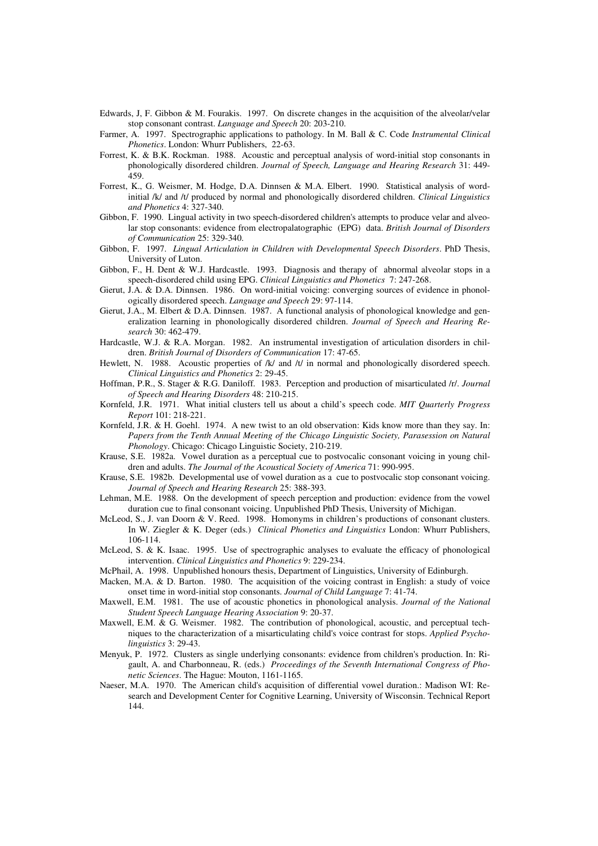- Edwards, J, F. Gibbon & M. Fourakis. 1997. On discrete changes in the acquisition of the alveolar/velar stop consonant contrast. *Language and Speech* 20: 203-210.
- Farmer, A. 1997. Spectrographic applications to pathology. In M. Ball & C. Code *Instrumental Clinical Phonetics*. London: Whurr Publishers, 22-63.
- Forrest, K. & B.K. Rockman. 1988. Acoustic and perceptual analysis of word-initial stop consonants in phonologically disordered children. *Journal of Speech, Language and Hearing Research* 31: 449- 459.
- Forrest, K., G. Weismer, M. Hodge, D.A. Dinnsen & M.A. Elbert. 1990. Statistical analysis of wordinitial /k/ and /t/ produced by normal and phonologically disordered children. *Clinical Linguistics and Phonetics* 4: 327-340.
- Gibbon, F. 1990. Lingual activity in two speech-disordered children's attempts to produce velar and alveolar stop consonants: evidence from electropalatographic (EPG) data. *British Journal of Disorders of Communication* 25: 329-340.
- Gibbon, F. 1997. *Lingual Articulation in Children with Developmental Speech Disorders*. PhD Thesis, University of Luton.
- Gibbon, F., H. Dent & W.J. Hardcastle. 1993. Diagnosis and therapy of abnormal alveolar stops in a speech-disordered child using EPG. *Clinical Linguistics and Phonetics* 7: 247-268.
- Gierut, J.A. & D.A. Dinnsen. 1986. On word-initial voicing: converging sources of evidence in phonologically disordered speech. *Language and Speech* 29: 97-114.
- Gierut, J.A., M. Elbert & D.A. Dinnsen. 1987. A functional analysis of phonological knowledge and generalization learning in phonologically disordered children. *Journal of Speech and Hearing Research* 30: 462-479.
- Hardcastle, W.J. & R.A. Morgan. 1982. An instrumental investigation of articulation disorders in children. *British Journal of Disorders of Communication* 17: 47-65.
- Hewlett, N. 1988. Acoustic properties of /k/ and /t/ in normal and phonologically disordered speech. *Clinical Linguistics and Phonetics* 2: 29-45.
- Hoffman, P.R., S. Stager & R.G. Daniloff. 1983. Perception and production of misarticulated /r/. *Journal of Speech and Hearing Disorders* 48: 210-215.
- Kornfeld, J.R. 1971. What initial clusters tell us about a child's speech code. *MIT Quarterly Progress Report* 101: 218-221.
- Kornfeld, J.R. & H. Goehl. 1974. A new twist to an old observation: Kids know more than they say. In: *Papers from the Tenth Annual Meeting of the Chicago Linguistic Society, Parasession on Natural Phonology*. Chicago: Chicago Linguistic Society, 210-219.
- Krause, S.E. 1982a. Vowel duration as a perceptual cue to postvocalic consonant voicing in young children and adults. *The Journal of the Acoustical Society of America* 71: 990-995.
- Krause, S.E. 1982b. Developmental use of vowel duration as a cue to postvocalic stop consonant voicing. *Journal of Speech and Hearing Research* 25: 388-393.
- Lehman, M.E. 1988. On the development of speech perception and production: evidence from the vowel duration cue to final consonant voicing. Unpublished PhD Thesis, University of Michigan.
- McLeod, S., J. van Doorn & V. Reed. 1998. Homonyms in children's productions of consonant clusters. In W. Ziegler & K. Deger (eds.) *Clinical Phonetics and Linguistics* London: Whurr Publishers, 106-114.
- McLeod, S. & K. Isaac. 1995. Use of spectrographic analyses to evaluate the efficacy of phonological intervention. *Clinical Linguistics and Phonetics* 9: 229-234.
- McPhail, A. 1998. Unpublished honours thesis, Department of Linguistics, University of Edinburgh.
- Macken, M.A. & D. Barton. 1980. The acquisition of the voicing contrast in English: a study of voice onset time in word-initial stop consonants. *Journal of Child Language* 7: 41-74.
- Maxwell, E.M. 1981. The use of acoustic phonetics in phonological analysis. *Journal of the National Student Speech Language Hearing Association* 9: 20-37.
- Maxwell, E.M. & G. Weismer. 1982. The contribution of phonological, acoustic, and perceptual techniques to the characterization of a misarticulating child's voice contrast for stops. *Applied Psycholinguistics* 3: 29-43.
- Menyuk, P. 1972. Clusters as single underlying consonants: evidence from children's production. In: Rigault, A. and Charbonneau, R. (eds.) *Proceedings of the Seventh International Congress of Phonetic Sciences*. The Hague: Mouton, 1161-1165.
- Naeser, M.A. 1970. The American child's acquisition of differential vowel duration.: Madison WI: Research and Development Center for Cognitive Learning, University of Wisconsin. Technical Report 144.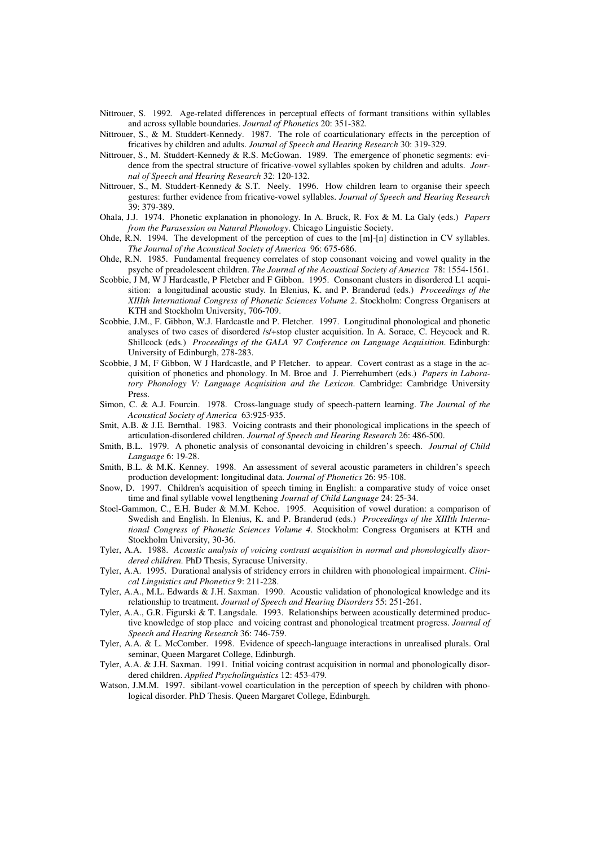- Nittrouer, S. 1992. Age-related differences in perceptual effects of formant transitions within syllables and across syllable boundaries. *Journal of Phonetics* 20: 351-382.
- Nittrouer, S., & M. Studdert-Kennedy. 1987. The role of coarticulationary effects in the perception of fricatives by children and adults. *Journal of Speech and Hearing Research* 30: 319-329.
- Nittrouer, S., M. Studdert-Kennedy & R.S. McGowan. 1989. The emergence of phonetic segments: evidence from the spectral structure of fricative-vowel syllables spoken by children and adults. *Journal of Speech and Hearing Research* 32: 120-132.
- Nittrouer, S., M. Studdert-Kennedy & S.T. Neely. 1996. How children learn to organise their speech gestures: further evidence from fricative-vowel syllables. *Journal of Speech and Hearing Research* 39: 379-389.
- Ohala, J.J. 1974. Phonetic explanation in phonology*.* In A. Bruck, R. Fox & M. La Galy (eds.) *Papers from the Parasession on Natural Phonology*. Chicago Linguistic Society.
- Ohde, R.N. 1994. The development of the perception of cues to the [m]-[n] distinction in CV syllables. *The Journal of the Acoustical Society of America* 96: 675-686.
- Ohde, R.N. 1985. Fundamental frequency correlates of stop consonant voicing and vowel quality in the psyche of preadolescent children. *The Journal of the Acoustical Society of America* 78: 1554-1561.
- Scobbie, J.M, W.J. Hardcastle, P. Fletcher and F. Gibbon. 1995. Consonant clusters in disordered L1 acquisition: a longitudinal acoustic study*.* In Elenius, K. and P. Branderud (eds.) *Proceedings of the XIIIth International Congress of Phonetic Sciences Volume 2*. Stockholm: Congress Organisers at KTH and Stockholm University, 706-709.
- Scobbie, J.M., F. Gibbon, W.J. Hardcastle and P. Fletcher. 1997. Longitudinal phonological and phonetic analyses of two cases of disordered /s/+stop cluster acquisition. In A. Sorace, C. Heycock and R. Shillcock (eds.) *Proceedings of the GALA '97 Conference on Language Acquisition*. Edinburgh: University of Edinburgh, 278-283.
- Scobbie, J M, F Gibbon, W J Hardcastle, and P Fletcher. to appear. Covert contrast as a stage in the acquisition of phonetics and phonology. In M. Broe and J. Pierrehumbert (eds.) *Papers in Laboratory Phonology V: Language Acquisition and the Lexicon*. Cambridge: Cambridge University Press.
- Simon, C. & A.J. Fourcin. 1978. Cross-language study of speech-pattern learning. *The Journal of the Acoustical Society of America* 63:925-935.
- Smit, A.B. & J.E. Bernthal. 1983. Voicing contrasts and their phonological implications in the speech of articulation-disordered children. *Journal of Speech and Hearing Research* 26: 486-500.
- Smith, B.L. 1979. A phonetic analysis of consonantal devoicing in children's speech. *Journal of Child Language* 6: 19-28.
- Smith, B.L. & M.K. Kenney. 1998. An assessment of several acoustic parameters in children's speech production development: longitudinal data. *Journal of Phonetics* 26: 95-108.
- Snow, D. 1997. Children's acquisition of speech timing in English: a comparative study of voice onset time and final syllable vowel lengthening *Journal of Child Language* 24: 25-34.
- Stoel-Gammon, C., E.H. Buder & M.M. Kehoe. 1995. Acquisition of vowel duration: a comparison of Swedish and English. In Elenius, K. and P. Branderud (eds.) *Proceedings of the XIIIth International Congress of Phonetic Sciences Volume 4*. Stockholm: Congress Organisers at KTH and Stockholm University, 30-36.
- Tyler, A.A. 1988. *Acoustic analysis of voicing contrast acquisition in normal and phonologically disordered children.* PhD Thesis, Syracuse University.
- Tyler, A.A. 1995. Durational analysis of stridency errors in children with phonological impairment. *Clinical Linguistics and Phonetics* 9: 211-228.
- Tyler, A.A., M.L. Edwards & J.H. Saxman. 1990. Acoustic validation of phonological knowledge and its relationship to treatment. *Journal of Speech and Hearing Disorders* 55: 251-261.
- Tyler, A.A., G.R. Figurski & T. Langsdale. 1993. Relationships between acoustically determined productive knowledge of stop place and voicing contrast and phonological treatment progress. *Journal of Speech and Hearing Research* 36: 746-759.
- Tyler, A.A. & L. McComber. 1998. Evidence of speech-language interactions in unrealised plurals. Oral seminar, Queen Margaret College, Edinburgh.
- Tyler, A.A. & J.H. Saxman. 1991. Initial voicing contrast acquisition in normal and phonologically disordered children. *Applied Psycholinguistics* 12: 453-479.
- Watson, J.M.M. 1997. sibilant-vowel coarticulation in the perception of speech by children with phonological disorder. PhD Thesis. Queen Margaret College, Edinburgh.